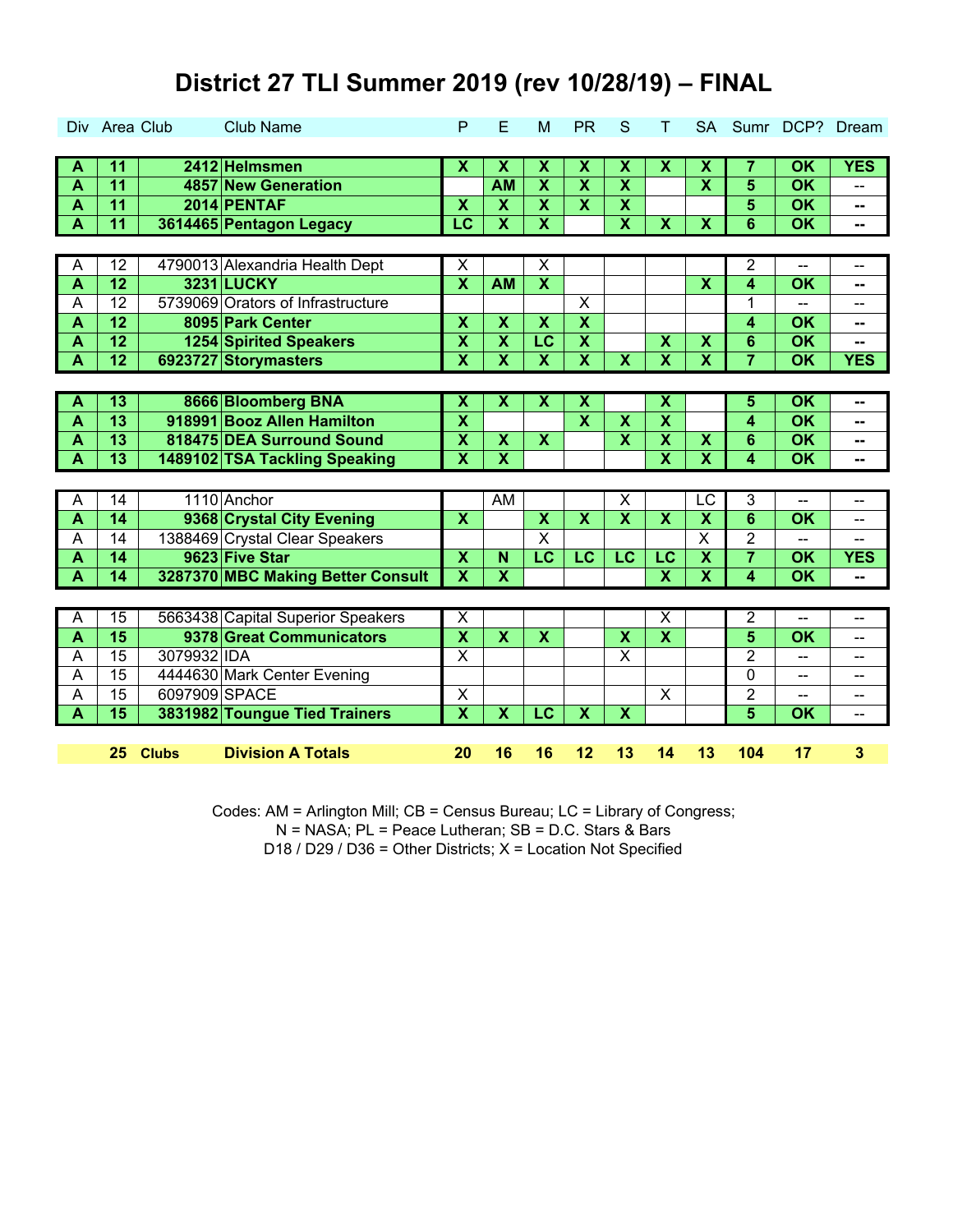|                         | Div Area Club   |               | <b>Club Name</b>                  | P                         | E                         | M                         | <b>PR</b>               | S                       | т                         | <b>SA</b>                 |                         | Sumr DCP?                | Dream                   |
|-------------------------|-----------------|---------------|-----------------------------------|---------------------------|---------------------------|---------------------------|-------------------------|-------------------------|---------------------------|---------------------------|-------------------------|--------------------------|-------------------------|
|                         |                 |               |                                   |                           |                           |                           |                         |                         |                           |                           |                         |                          |                         |
| A                       | 11              |               | 2412 Helmsmen                     | $\overline{\mathbf{x}}$   | $\overline{\mathbf{x}}$   | $\overline{\mathbf{x}}$   | $\overline{\mathbf{x}}$ | $\overline{\mathbf{x}}$ | $\overline{\mathbf{x}}$   | $\overline{\mathbf{X}}$   | 7                       | <b>OK</b>                | <b>YES</b>              |
| $\overline{\mathsf{A}}$ | $\overline{11}$ |               | 4857 New Generation               |                           | <b>AM</b>                 | $\overline{\mathbf{x}}$   | $\overline{\mathbf{x}}$ | $\overline{\mathbf{X}}$ |                           | $\overline{\mathbf{x}}$   | 5                       | OK                       |                         |
| $\overline{\mathsf{A}}$ | $\overline{11}$ |               | 2014 PENTAF                       | $\boldsymbol{\mathsf{x}}$ | $\boldsymbol{\mathsf{X}}$ | $\overline{\mathbf{x}}$   | $\overline{\mathbf{x}}$ | $\overline{\mathbf{x}}$ |                           |                           | 5                       | <b>OK</b>                | $\sim$                  |
| $\overline{\mathbf{A}}$ | $\overline{11}$ |               | 3614465 Pentagon Legacy           | $\overline{\mathsf{LC}}$  | $\overline{\textbf{X}}$   | $\overline{\mathbf{x}}$   |                         | $\overline{\mathbf{X}}$ | $\overline{\mathbf{X}}$   | $\overline{\mathbf{x}}$   | $\overline{6}$          | $\overline{\mathsf{OK}}$ | -−                      |
|                         |                 |               |                                   |                           |                           |                           |                         |                         |                           |                           |                         |                          |                         |
| A                       | $\overline{12}$ |               | 4790013 Alexandria Health Dept    | $\overline{\mathsf{x}}$   |                           | $\overline{\mathsf{x}}$   |                         |                         |                           |                           | $\overline{2}$          | --                       | --                      |
| $\overline{\mathsf{A}}$ | $\overline{12}$ |               | <b>3231 LUCKY</b>                 | $\overline{\mathbf{X}}$   | <b>AM</b>                 | $\overline{\mathbf{x}}$   |                         |                         |                           | $\overline{\mathbf{x}}$   | $\overline{\mathbf{4}}$ | $\overline{\mathsf{OK}}$ | --                      |
| A                       | 12              |               | 5739069 Orators of Infrastructure |                           |                           |                           | X                       |                         |                           |                           | 1                       |                          | --                      |
| $\overline{\mathsf{A}}$ | $\overline{12}$ |               | 8095 Park Center                  | $\overline{\mathbf{x}}$   | $\boldsymbol{\mathsf{X}}$ | $\overline{\mathbf{x}}$   | $\overline{\mathbf{x}}$ |                         |                           |                           | 4                       | $\overline{\mathsf{OK}}$ | --                      |
| A                       | $\overline{12}$ |               | <b>1254 Spirited Speakers</b>     | $\overline{\mathbf{X}}$   | $\overline{\mathbf{X}}$   | $\overline{\text{LC}}$    | $\overline{\textbf{X}}$ |                         | $\overline{\mathbf{X}}$   | $\overline{\mathbf{X}}$   | $6\phantom{1}$          | $\overline{\mathsf{OK}}$ | --                      |
| $\overline{\mathsf{A}}$ | $\overline{12}$ |               | 6923727 Storymasters              | $\overline{\mathbf{x}}$   | $\overline{\textbf{x}}$   | $\overline{\mathbf{x}}$   | $\overline{\mathbf{x}}$ | $\overline{\mathbf{x}}$ | $\overline{\textbf{x}}$   | $\overline{\textbf{x}}$   | $\overline{7}$          | $\overline{\mathsf{OK}}$ | <b>YES</b>              |
|                         |                 |               |                                   |                           |                           |                           |                         |                         |                           |                           |                         |                          |                         |
| A                       | $\overline{13}$ |               | 8666 Bloomberg BNA                | $\overline{\mathbf{x}}$   | $\overline{\mathbf{X}}$   | $\overline{\mathbf{x}}$   | $\overline{\textbf{x}}$ |                         | $\overline{\mathbf{x}}$   |                           | 5                       | $\overline{\text{OK}}$   | $\sim$                  |
| $\overline{\mathbf{A}}$ | 13              |               | 918991 Booz Allen Hamilton        | $\overline{\mathbf{X}}$   |                           |                           | $\overline{\mathbf{x}}$ | $\overline{\mathbf{x}}$ | $\overline{\mathbf{x}}$   |                           | 4                       | OK                       | $-$                     |
| $\overline{\mathsf{A}}$ | 13              |               | 818475 DEA Surround Sound         | $\pmb{\mathsf{X}}$        | $\boldsymbol{\mathsf{X}}$ | $\boldsymbol{\mathsf{X}}$ |                         | $\overline{\mathbf{x}}$ | $\boldsymbol{\mathsf{X}}$ | $\boldsymbol{\mathsf{X}}$ | 6                       | OK                       | --                      |
| $\overline{\mathsf{A}}$ | $\overline{13}$ |               | 1489102 TSA Tackling Speaking     | $\overline{\mathbf{x}}$   | $\overline{\textbf{x}}$   |                           |                         |                         | $\overline{\mathbf{x}}$   | $\overline{\mathbf{x}}$   | $\overline{\mathbf{4}}$ | $\overline{\mathsf{OK}}$ | ⊷                       |
|                         |                 |               |                                   |                           |                           |                           |                         |                         |                           |                           |                         |                          |                         |
| $\overline{A}$          | 14              |               | 1110 Anchor                       |                           | $\overline{AM}$           |                           |                         | $\overline{\mathsf{x}}$ |                           | LC                        | 3                       | --                       | -−                      |
| $\overline{\mathsf{A}}$ | 14              |               | 9368 Crystal City Evening         | $\boldsymbol{\mathsf{X}}$ |                           | $\overline{\mathbf{X}}$   | $\overline{\mathbf{X}}$ | $\overline{\mathbf{X}}$ | $\overline{\mathbf{x}}$   | $\overline{\mathbf{X}}$   | $6\phantom{1}$          | <b>OK</b>                | --                      |
| $\overline{A}$          | 14              |               | 1388469 Crystal Clear Speakers    |                           |                           | $\overline{\mathsf{x}}$   |                         |                         |                           | $\overline{\mathsf{x}}$   | $\overline{2}$          |                          |                         |
| $\overline{\mathsf{A}}$ | $\overline{14}$ |               | 9623 Five Star                    | $\overline{\mathbf{X}}$   | N                         | $\overline{\mathsf{LC}}$  | $\overline{\text{LC}}$  | $\overline{\text{LC}}$  | $\overline{\text{LC}}$    | $\overline{\mathbf{X}}$   |                         | $\overline{\mathsf{OK}}$ | <b>YES</b>              |
| $\overline{\mathsf{A}}$ | $\overline{14}$ |               | 3287370 MBC Making Better Consult | $\overline{\mathbf{x}}$   | $\overline{\mathbf{X}}$   |                           |                         |                         | $\overline{\mathbf{x}}$   | $\overline{\mathbf{x}}$   | $\overline{\mathbf{4}}$ | $\overline{\mathsf{OK}}$ | ⊷                       |
|                         |                 |               |                                   |                           |                           |                           |                         |                         |                           |                           |                         |                          |                         |
| A                       | 15              |               | 5663438 Capital Superior Speakers | $\overline{\mathsf{x}}$   |                           |                           |                         |                         | $\overline{\mathsf{x}}$   |                           | $\overline{2}$          | $\overline{a}$           | -−                      |
| $\overline{\mathbf{A}}$ | 15              |               | 9378 Great Communicators          | $\overline{\mathbf{X}}$   | $\overline{\mathbf{X}}$   | $\boldsymbol{\mathsf{X}}$ |                         | $\pmb{\mathsf{X}}$      | $\overline{\mathbf{X}}$   |                           | $\overline{\mathbf{5}}$ | OK                       | --                      |
| A                       | 15              | 3079932 IDA   |                                   | $\overline{\mathsf{x}}$   |                           |                           |                         | $\overline{\mathsf{x}}$ |                           |                           | $\overline{2}$          | --                       | --                      |
| A                       | 15              |               | 4444630 Mark Center Evening       |                           |                           |                           |                         |                         |                           |                           | 0                       | $-$                      | $-$                     |
| A                       | $\overline{15}$ | 6097909 SPACE |                                   | $\pmb{\mathsf{X}}$        |                           |                           |                         |                         | $\mathsf X$               |                           | $\overline{2}$          | --                       | --                      |
| $\overline{\mathbf{A}}$ | $\overline{15}$ |               | 3831982 Toungue Tied Trainers     | $\overline{\mathbf{X}}$   | $\overline{\mathbf{X}}$   | $\overline{\text{LC}}$    | $\overline{\mathbf{X}}$ | $\overline{\mathbf{X}}$ |                           |                           | $\overline{5}$          | $\overline{\mathsf{OK}}$ | -−                      |
|                         |                 |               |                                   |                           |                           |                           |                         |                         |                           |                           |                         |                          |                         |
|                         | 25              | <b>Clubs</b>  | <b>Division A Totals</b>          | 20                        | 16                        | 16                        | 12                      | 13                      | 14                        | 13                        | 104                     | 17                       | $\overline{\mathbf{3}}$ |

Codes: AM = Arlington Mill; CB = Census Bureau; LC = Library of Congress; D18 / D29 / D36 = Other Districts; X = Location Not Specified N = NASA; PL = Peace Lutheran; SB = D.C. Stars & Bars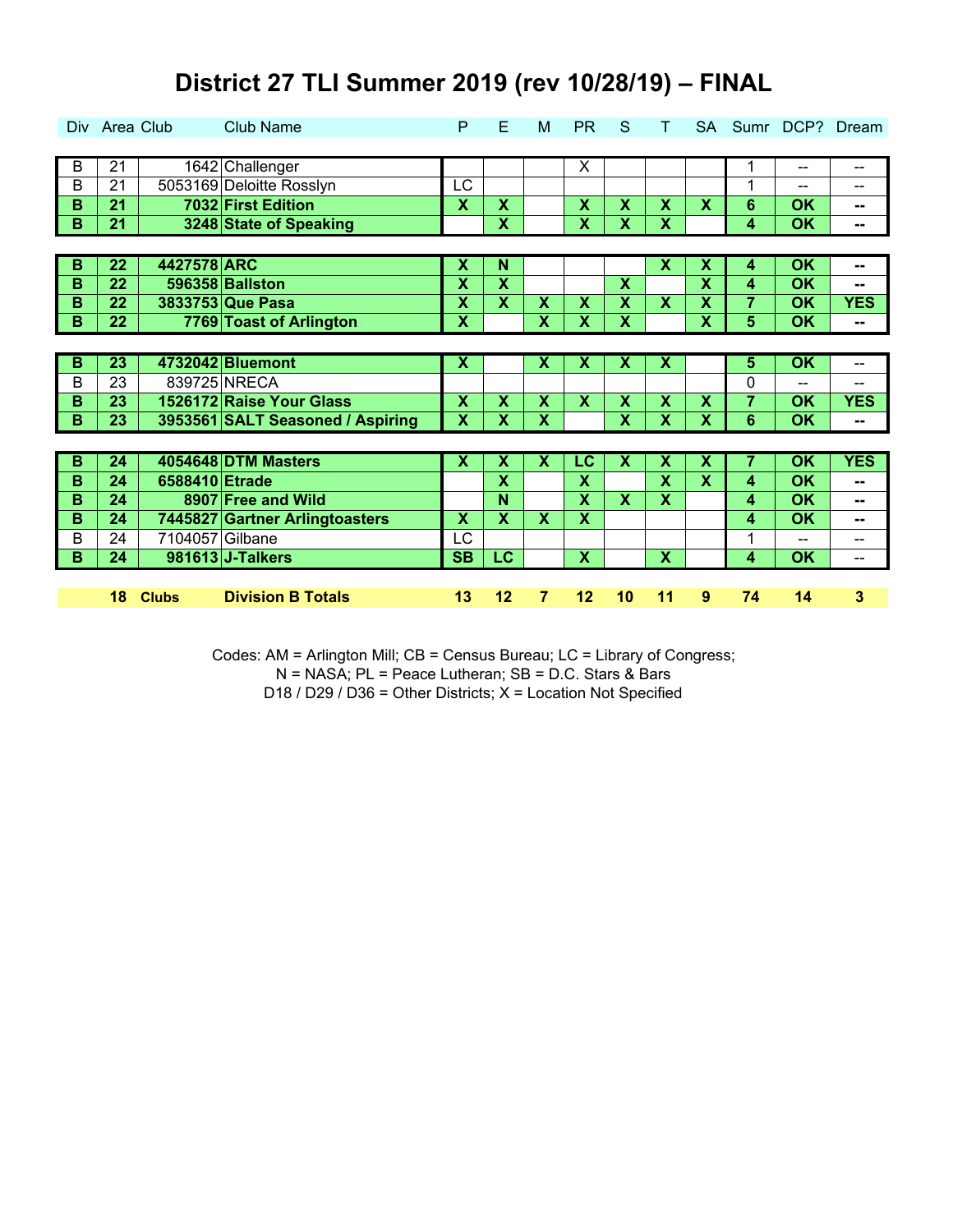|   | Div Area Club   |                 | <b>Club Name</b>                 | P                         | Е                       | м                         | <b>PR</b> | S                         | т                         |                           |                |                          | SA Sumr DCP? Dream       |
|---|-----------------|-----------------|----------------------------------|---------------------------|-------------------------|---------------------------|-----------|---------------------------|---------------------------|---------------------------|----------------|--------------------------|--------------------------|
|   |                 |                 |                                  |                           |                         |                           |           |                           |                           |                           |                |                          |                          |
| B | 21              |                 | 1642 Challenger                  |                           |                         |                           | X         |                           |                           |                           | 1              | $\sim$ $\sim$            | $\overline{\phantom{a}}$ |
| B | 21              |                 | 5053169 Deloitte Rosslyn         | <b>LC</b>                 |                         |                           |           |                           |                           |                           | 1              | $\sim$ $\sim$            | $\overline{\phantom{m}}$ |
| B | 21              |                 | 7032 First Edition               | $\boldsymbol{\mathsf{x}}$ | $\mathsf{\overline{X}}$ |                           | X         | $\mathbf x$               | $\boldsymbol{\mathsf{X}}$ | $\boldsymbol{\mathsf{X}}$ | 6              | <b>OK</b>                | --                       |
| B | 21              |                 | 3248 State of Speaking           |                           | $\overline{\textbf{x}}$ |                           | X         | X                         | $\overline{\mathbf{X}}$   |                           | 4              | OK                       | $\mathbf{u}$             |
|   |                 |                 |                                  |                           |                         |                           |           |                           |                           |                           |                |                          |                          |
| B | $\overline{22}$ | 4427578 ARC     |                                  | $\overline{\mathbf{x}}$   | N                       |                           |           |                           | $\overline{\mathbf{x}}$   | $\overline{\textsf{x}}$   | 4              | $\overline{\mathsf{OK}}$ | --                       |
| B | 22              |                 | 596358 Ballston                  | $\overline{\mathbf{X}}$   | $\overline{\mathbf{X}}$ |                           |           | $\overline{\mathbf{x}}$   |                           | $\overline{\mathbf{X}}$   | 4              | <b>OK</b>                | $-$                      |
| B | 22              |                 | 3833753 Que Pasa                 | $\boldsymbol{\mathsf{X}}$ | $\overline{\mathbf{X}}$ | $\mathbf x$               | X         | $\mathbf x$               | $\mathbf x$               | X                         | 7              | <b>OK</b>                | <b>YES</b>               |
| B | 22              |                 | 7769 Toast of Arlington          | $\boldsymbol{\mathsf{X}}$ |                         | $\boldsymbol{\mathsf{X}}$ | X         | $\boldsymbol{\mathsf{X}}$ |                           | $\overline{\mathbf{x}}$   | 5              | <b>OK</b>                | $\mathbf{u}$             |
|   |                 |                 |                                  |                           |                         |                           |           |                           |                           |                           |                |                          |                          |
| B | $\overline{23}$ |                 | 4732042 Bluemont                 | X                         |                         | X                         | X         | X                         | $\overline{\mathbf{x}}$   |                           | 5              | $\overline{\text{OK}}$   | $\overline{\phantom{a}}$ |
| B | 23              |                 | 839725 NRECA                     |                           |                         |                           |           |                           |                           |                           | 0              | $\sim$ $\sim$            | $\overline{\phantom{m}}$ |
| B | 23              |                 | 1526172 Raise Your Glass         | $\boldsymbol{\mathsf{X}}$ | $\overline{\mathsf{X}}$ | $\boldsymbol{\mathsf{X}}$ | X         | $\boldsymbol{\mathsf{X}}$ | X                         | $\overline{\mathbf{X}}$   | $\overline{7}$ | OK                       | <b>YES</b>               |
| B | 23              |                 | 3953561 SALT Seasoned / Aspiring | $\overline{\mathbf{X}}$   | $\overline{\mathbf{X}}$ | $\overline{\mathbf{X}}$   |           | $\overline{\mathbf{x}}$   | $\overline{\mathbf{x}}$   | $\overline{\mathbf{x}}$   | 6              | <b>OK</b>                | $\overline{\phantom{a}}$ |
|   |                 |                 |                                  |                           |                         |                           |           |                           |                           |                           |                |                          |                          |
| B | 24              |                 | 4054648 DTM Masters              | $\boldsymbol{\mathsf{x}}$ | $\overline{\mathbf{X}}$ | $\boldsymbol{\mathsf{X}}$ | LC        | $\boldsymbol{\mathsf{X}}$ | $\boldsymbol{\mathsf{X}}$ | $\overline{\mathbf{X}}$   | 7              | OK                       | <b>YES</b>               |
| B | 24              | 6588410 Etrade  |                                  |                           | $\overline{\mathbf{X}}$ |                           | X         |                           | $\overline{\mathbf{x}}$   | $\overline{\mathbf{x}}$   | 4              | <b>OK</b>                | --                       |
| B | 24              |                 | 8907 Free and Wild               |                           | N                       |                           | X         | $\mathbf x$               | X                         |                           | 4              | <b>OK</b>                | --                       |
| B | 24              |                 | 7445827 Gartner Arlingtoasters   | X                         | X                       | X                         | X         |                           |                           |                           | 4              | <b>OK</b>                | $=$                      |
| В | 24              | 7104057 Gilbane |                                  | LC                        |                         |                           |           |                           |                           |                           | 1              | $\overline{\phantom{a}}$ | $\overline{a}$           |
| B | 24              |                 | 981613 J-Talkers                 | <b>SB</b>                 | LC                      |                           | X         |                           | X                         |                           | 4              | <b>OK</b>                | $-$                      |
|   |                 |                 |                                  |                           |                         |                           |           |                           |                           |                           |                |                          |                          |
|   | 18              | <b>Clubs</b>    | <b>Division B Totals</b>         | 13                        | 12                      | 7                         | 12        | 10                        | 11                        | 9                         | 74             | 14                       | 3                        |

Codes: AM = Arlington Mill; CB = Census Bureau; LC = Library of Congress; D18 / D29 / D36 = Other Districts; X = Location Not Specified N = NASA; PL = Peace Lutheran; SB = D.C. Stars & Bars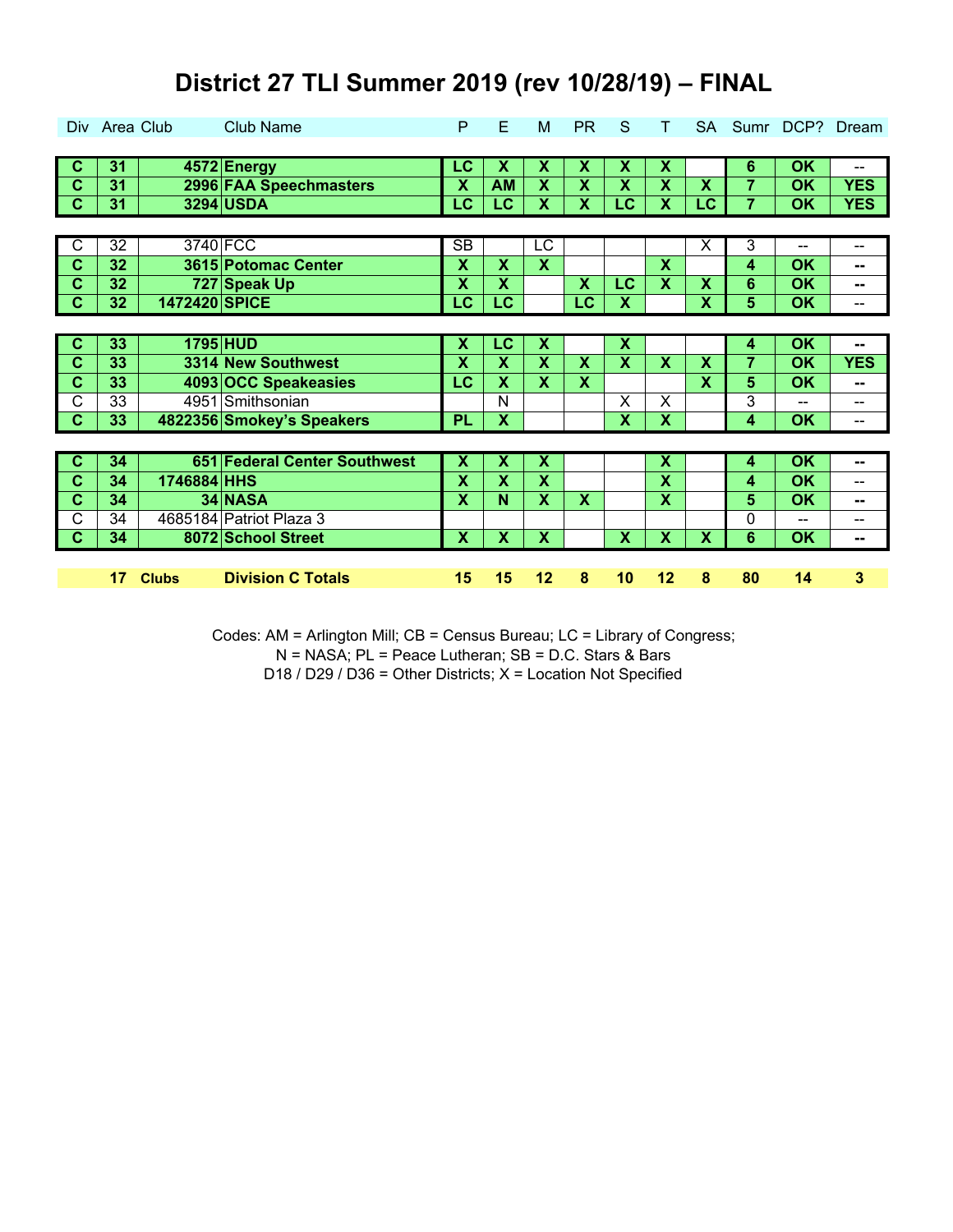|                            | Div Area Club   |               | <b>Club Name</b>             | P                        | Е                         | M                         | <b>PR</b> | S                         | T.                        |                           |                |                          | SA Sumr DCP? Dream       |
|----------------------------|-----------------|---------------|------------------------------|--------------------------|---------------------------|---------------------------|-----------|---------------------------|---------------------------|---------------------------|----------------|--------------------------|--------------------------|
|                            |                 |               |                              |                          |                           |                           |           |                           |                           |                           |                |                          |                          |
| $\overline{c}$             | 31              |               | 4572 Energy                  | LC                       | $\boldsymbol{\mathsf{x}}$ | $\boldsymbol{\mathsf{X}}$ | X         | X                         | X                         |                           | 6              | OK                       | $\overline{\phantom{a}}$ |
| $\mathbf C$                | 31              |               | 2996 FAA Speechmasters       | Х                        | <b>AM</b>                 | $\boldsymbol{\mathsf{X}}$ | X         | $\boldsymbol{\mathsf{X}}$ | X                         | $\boldsymbol{\mathsf{X}}$ | $\overline{7}$ | <b>OK</b>                | <b>YES</b>               |
| $\overline{\phantom{a}}$ c | 31              |               | 3294 USDA                    | LC                       | LC                        | $\boldsymbol{\mathsf{X}}$ | X         | LC                        | X                         | LC                        | $\overline{7}$ | <b>OK</b>                | <b>YES</b>               |
|                            |                 |               |                              |                          |                           |                           |           |                           |                           |                           |                |                          |                          |
| $\overline{C}$             | $\overline{32}$ |               | 3740 FCC                     | $\overline{\text{SB}}$   |                           | LC                        |           |                           |                           | $\overline{\mathsf{x}}$   | 3              | $\sim$ $\sim$            | $\overline{\phantom{m}}$ |
| $\overline{\mathbf{c}}$    | 32              |               | 3615 Potomac Center          | $\overline{\mathbf{X}}$  | $\overline{\mathbf{X}}$   | $\overline{\mathbf{x}}$   |           |                           | $\overline{\mathbf{x}}$   |                           | 4              | <b>OK</b>                | --                       |
| $\overline{\mathbf{c}}$    | 32              |               | 727 Speak Up                 | $\overline{\mathbf{X}}$  | $\overline{\mathbf{X}}$   |                           | X         | LC                        | $\overline{\mathbf{x}}$   | $\boldsymbol{\mathsf{X}}$ | 6              | <b>OK</b>                | --                       |
| $\overline{\phantom{a}}$ c | 32              | 1472420 SPICE |                              | $\overline{\mathsf{LC}}$ | $\overline{\text{LC}}$    |                           | <b>LC</b> | X                         |                           | $\overline{\textbf{x}}$   | 5              | <b>OK</b>                | --                       |
|                            |                 |               |                              |                          |                           |                           |           |                           |                           |                           |                |                          |                          |
| $\overline{c}$             | 33              |               | 1795 HUD                     | $\overline{\mathbf{x}}$  | <b>LC</b>                 | $\overline{\mathbf{x}}$   |           | $\overline{\mathbf{X}}$   |                           |                           | 4              | $\overline{\mathsf{OK}}$ | $\mathbf{u}$             |
| $\overline{c}$             | 33              |               | 3314 New Southwest           | X                        | $\boldsymbol{\mathsf{X}}$ | $\boldsymbol{\mathsf{X}}$ | X         | X                         | X                         | $\boldsymbol{\mathsf{X}}$ | $\overline{7}$ | <b>OK</b>                | <b>YES</b>               |
| $\overline{c}$             | 33              |               | 4093 OCC Speakeasies         | LC                       | $\mathbf x$               | X                         | X         |                           |                           | $\mathbf x$               | 5              | <b>OK</b>                | --                       |
| $\mathsf{C}$               | 33              |               | 4951 Smithsonian             |                          | N                         |                           |           | X                         | X                         |                           | 3              | --                       | $\overline{a}$           |
| $\overline{c}$             | 33              |               | 4822356 Smokey's Speakers    | <b>PL</b>                | X                         |                           |           | X                         | X                         |                           | 4              | <b>OK</b>                | $\overline{\phantom{a}}$ |
|                            |                 |               |                              |                          |                           |                           |           |                           |                           |                           |                |                          |                          |
| $\mathbf c$                | 34              |               | 651 Federal Center Southwest | $\overline{\mathbf{X}}$  | $\overline{\mathbf{X}}$   | $\overline{\mathbf{x}}$   |           |                           | $\overline{\mathbf{x}}$   |                           | 4              | $\overline{\mathsf{OK}}$ | --                       |
| $\overline{\mathbf{c}}$    | 34              | 1746884 HHS   |                              | $\overline{\mathbf{X}}$  | $\overline{\mathbf{X}}$   | $\mathbf x$               |           |                           | $\overline{\mathbf{X}}$   |                           | 4              | <b>OK</b>                | $\overline{\phantom{m}}$ |
| $\mathbf c$                | 34              |               | 34 NASA                      | X                        | N                         | X                         | X         |                           | $\boldsymbol{\mathsf{X}}$ |                           | 5              | <b>OK</b>                | --                       |
| C                          | 34              |               | 4685184 Patriot Plaza 3      |                          |                           |                           |           |                           |                           |                           | 0              | $\sim$ $\sim$            | $- -$                    |
| $\mathbf{C}$               | 34              |               | 8072 School Street           | $\mathbf x$              | $\overline{\mathbf{X}}$   | $\boldsymbol{\mathsf{X}}$ |           | $\mathbf x$               | $\overline{\mathbf{x}}$   | $\boldsymbol{\mathsf{x}}$ | 6              | OK                       | $\sim$                   |
|                            |                 |               |                              |                          |                           |                           |           |                           |                           |                           |                |                          |                          |
|                            |                 |               |                              |                          |                           |                           |           |                           |                           |                           |                |                          |                          |

Codes: AM = Arlington Mill; CB = Census Bureau; LC = Library of Congress;

N = NASA; PL = Peace Lutheran; SB = D.C. Stars & Bars

D18 / D29 / D36 = Other Districts; X = Location Not Specified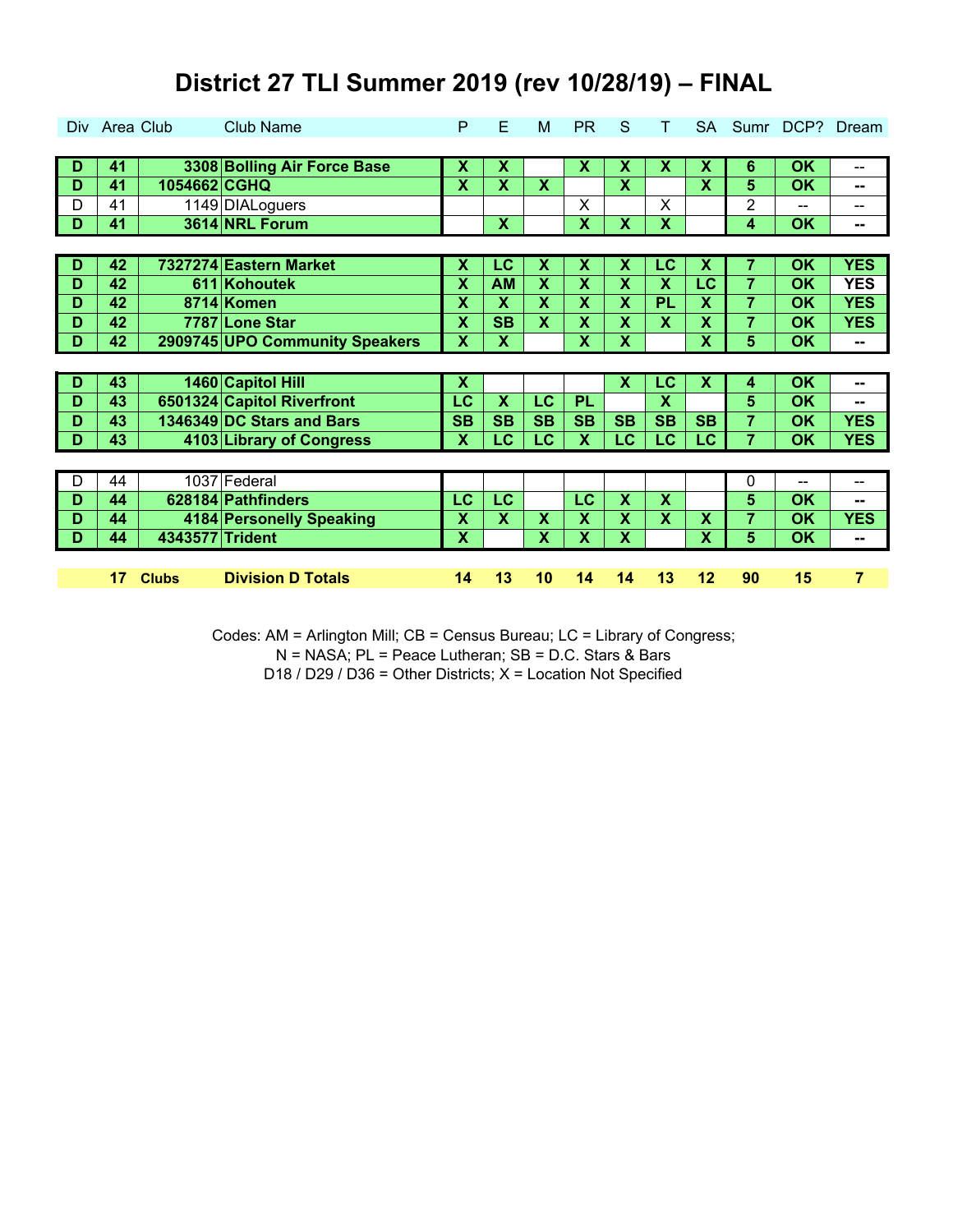| Div. | Area Club |                 | <b>Club Name</b>               | P                         | E                         | M                         | PR                      | S                         |                           | <b>SA</b>               | Sumr           |                          | DCP? Dream |
|------|-----------|-----------------|--------------------------------|---------------------------|---------------------------|---------------------------|-------------------------|---------------------------|---------------------------|-------------------------|----------------|--------------------------|------------|
|      |           |                 |                                |                           |                           |                           |                         |                           |                           |                         |                |                          |            |
| D    | 41        |                 | 3308 Bolling Air Force Base    | X                         | X                         |                           | X                       | X                         | $\boldsymbol{\mathsf{x}}$ | X                       | 6              | <b>OK</b>                | --         |
| D    | 41        | 1054662 CGHQ    |                                | $\overline{\mathsf{X}}$   | X                         | $\boldsymbol{\mathsf{X}}$ |                         | X                         |                           | $\overline{\mathbf{x}}$ | 5              | <b>OK</b>                | --         |
| D    | 41        |                 | 1149 DIALoguers                |                           |                           |                           | X                       |                           | X                         |                         | 2              | $- -$                    | --         |
| D    | 41        |                 | 3614 NRL Forum                 |                           | $\overline{\mathbf{x}}$   |                           | $\overline{\mathbf{X}}$ | $\boldsymbol{\mathsf{x}}$ | $\overline{\mathbf{x}}$   |                         | 4              | OK                       | --         |
|      |           |                 |                                |                           |                           |                           |                         |                           |                           |                         |                |                          |            |
| D    | 42        |                 | 7327274 Eastern Market         | $\overline{\mathbf{x}}$   | $\overline{LC}$           | X                         | $\overline{\mathbf{x}}$ | X                         | LC                        | $\overline{\textsf{x}}$ | 7              | $\overline{\mathsf{OK}}$ | <b>YES</b> |
| D    | 42        |                 | 611 Kohoutek                   | X                         | <b>AM</b>                 | X                         | X                       | X                         | $\overline{\mathbf{X}}$   | $\overline{\text{LC}}$  | $\overline{7}$ | OK                       | <b>YES</b> |
| D    | 42        |                 | 8714 Komen                     | X                         | $\boldsymbol{\mathsf{X}}$ | X                         | X                       | X                         | PL                        | $\mathbf x$             | $\overline{7}$ | <b>OK</b>                | <b>YES</b> |
| D    | 42        |                 | 7787 Lone Star                 | X                         | <b>SB</b>                 | X                         | X                       | X                         | X                         | $\overline{\mathbf{X}}$ | $\overline{7}$ | <b>OK</b>                | <b>YES</b> |
| D    | 42        |                 | 2909745 UPO Community Speakers | X                         | X                         |                           | X                       | X                         |                           | X                       | 5              | <b>OK</b>                | --         |
|      |           |                 |                                |                           |                           |                           |                         |                           |                           |                         |                |                          |            |
|      |           |                 |                                |                           |                           |                           |                         |                           |                           |                         |                |                          |            |
| D    | 43        |                 | 1460 Capitol Hill              | $\overline{\mathbf{x}}$   |                           |                           |                         | $\overline{\mathbf{X}}$   | $\overline{\text{LC}}$    | $\overline{\textsf{x}}$ | 4              | $\overline{\mathsf{OK}}$ | --         |
| D    | 43        |                 | 6501324 Capitol Riverfront     | LC                        | $\overline{\mathbf{X}}$   | LC                        | <b>PL</b>               |                           | $\overline{\mathsf{X}}$   |                         | 5              | <b>OK</b>                | --         |
| D    | 43        |                 | 1346349 DC Stars and Bars      | <b>SB</b>                 | <b>SB</b>                 | <b>SB</b>                 | <b>SB</b>               | <b>SB</b>                 | <b>SB</b>                 | <b>SB</b>               | $\overline{7}$ | <b>OK</b>                | <b>YES</b> |
| D    | 43        |                 | 4103 Library of Congress       | $\boldsymbol{\mathsf{X}}$ | LC                        | <b>LC</b>                 | $\mathbf{x}$            | <b>LC</b>                 | LC                        | LC                      | $\overline{7}$ | <b>OK</b>                | <b>YES</b> |
|      |           |                 |                                |                           |                           |                           |                         |                           |                           |                         |                |                          |            |
| D    | 44        |                 | 1037 Federal                   |                           |                           |                           |                         |                           |                           |                         | 0              | $\overline{a}$           | --         |
| D    | 44        |                 | 628184 Pathfinders             | LC                        | LC                        |                           | LC                      | X                         | X                         |                         | 5              | <b>OK</b>                | --         |
| D    | 44        |                 | 4184 Personelly Speaking       | X                         | $\boldsymbol{\mathsf{X}}$ | X                         | X                       | X                         | X                         | X                       | $\overline{7}$ | <b>OK</b>                | <b>YES</b> |
| D    | 44        | 4343577 Trident |                                | X                         |                           | X                         | X                       | X                         |                           | $\overline{\mathsf{x}}$ | 5              | <b>OK</b>                | --         |
|      |           |                 |                                |                           |                           |                           |                         |                           |                           |                         |                |                          |            |

Codes: AM = Arlington Mill; CB = Census Bureau; LC = Library of Congress;

N = NASA; PL = Peace Lutheran; SB = D.C. Stars & Bars

D18 / D29 / D36 = Other Districts; X = Location Not Specified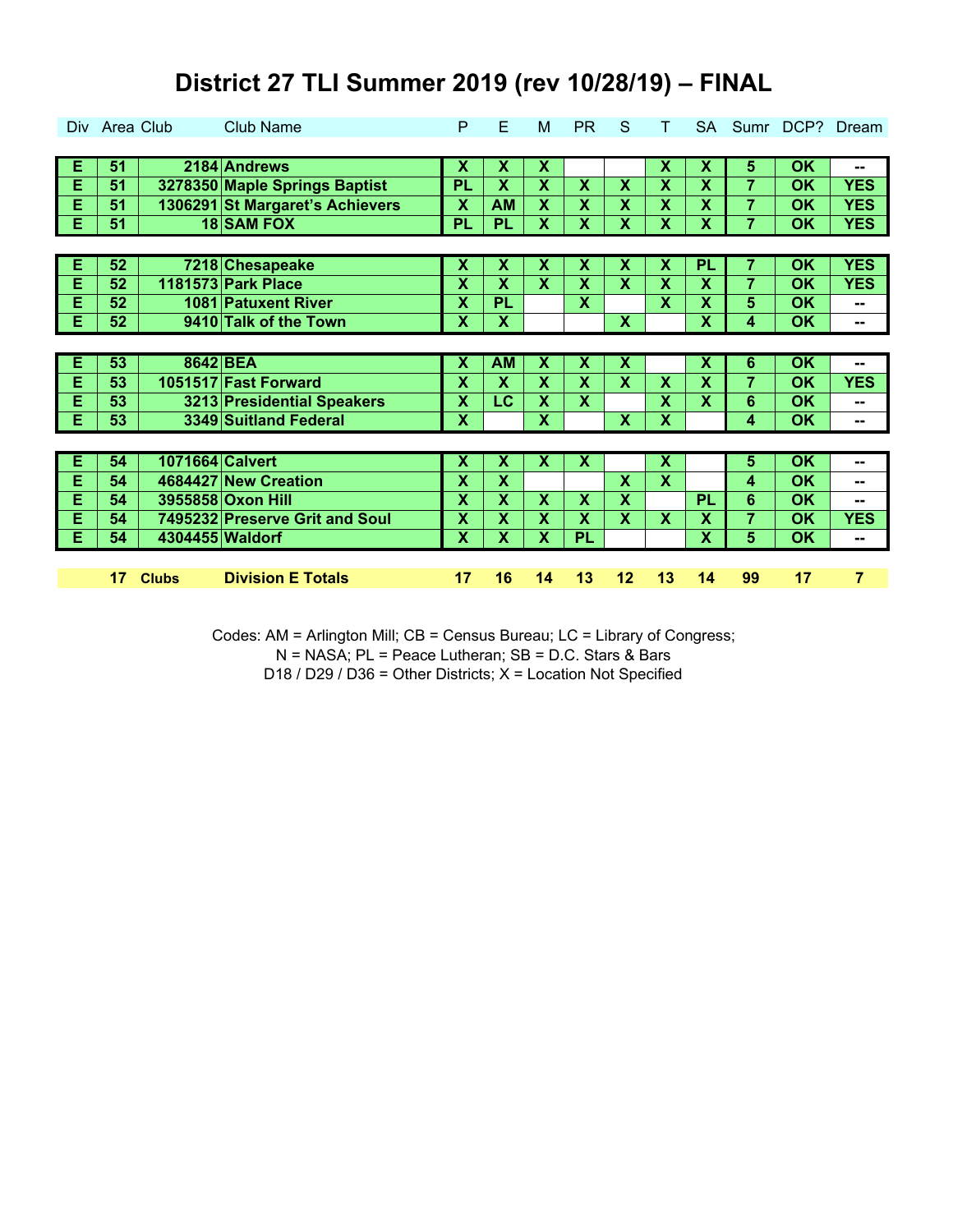| Div.           | Area Club |                 | <b>Club Name</b>                | P                         | E                         | M                         | <b>PR</b>               | S                       | т                         | <b>SA</b>                 | Sumr           | DCP?                     | Dream                    |
|----------------|-----------|-----------------|---------------------------------|---------------------------|---------------------------|---------------------------|-------------------------|-------------------------|---------------------------|---------------------------|----------------|--------------------------|--------------------------|
|                |           |                 |                                 |                           |                           |                           |                         |                         |                           |                           |                |                          |                          |
| Е              | 51        |                 | 2184 Andrews                    | Х                         | X                         | $\boldsymbol{\mathsf{x}}$ |                         |                         | X                         | X                         | 5              | <b>OK</b>                | --                       |
| E              | 51        |                 | 3278350 Maple Springs Baptist   | PL                        | $\overline{\mathsf{X}}$   | $\overline{\mathbf{X}}$   | X                       | $\overline{\mathbf{X}}$ | X                         | $\overline{\mathbf{X}}$   | $\overline{7}$ | <b>OK</b>                | <b>YES</b>               |
| E              | 51        |                 | 1306291 St Margaret's Achievers | $\overline{\mathbf{X}}$   | <b>AM</b>                 | $\overline{\mathbf{X}}$   | X                       | $\mathbf x$             | X                         | $\overline{\mathbf{X}}$   | $\overline{7}$ | OK                       | <b>YES</b>               |
| $\overline{E}$ | 51        |                 | 18 SAM FOX                      | PL                        | <b>PL</b>                 | $\overline{\mathbf{X}}$   | X                       | X                       | $\overline{\mathbf{x}}$   | $\overline{\mathbf{x}}$   | $\overline{7}$ | OK                       | <b>YES</b>               |
|                |           |                 |                                 |                           |                           |                           |                         |                         |                           |                           |                |                          |                          |
| Ε              | 52        |                 | 7218 Chesapeake                 | Х                         | Х                         | X                         | χ                       | х                       | $\overline{\mathbf{x}}$   | PL                        | 7              | $\overline{\mathsf{OK}}$ | <b>YES</b>               |
| E              | 52        |                 | <b>1181573 Park Place</b>       | $\overline{\mathbf{X}}$   | $\overline{\mathsf{x}}$   | X                         | X                       | $\mathbf x$             | X                         | X                         | $\overline{7}$ | ΟK                       | <b>YES</b>               |
| E              | 52        |                 | 1081 Patuxent River             | X                         | <b>PL</b>                 |                           | $\overline{\mathbf{X}}$ |                         | X                         | X                         | 5              | <b>OK</b>                | --                       |
| Е              | 52        |                 | 9410 Talk of the Town           | X                         | X                         |                           |                         | $\mathbf{X}$            |                           | <b>X</b>                  | 4              | <b>OK</b>                | --                       |
|                |           |                 |                                 |                           |                           |                           |                         |                         |                           |                           |                |                          |                          |
| Ε              | 53        | 8642 BEA        |                                 | $\overline{\textsf{x}}$   | <b>AM</b>                 | $\overline{\textsf{x}}$   | $\overline{\textsf{x}}$ | $\overline{\mathsf{x}}$ |                           | $\overline{\textbf{x}}$   | 6              | $\overline{\mathsf{OK}}$ | $\overline{\phantom{a}}$ |
| E              | 53        |                 | 1051517 Fast Forward            | X                         | X                         | X                         | χ                       | X                       | X                         | $\boldsymbol{\mathsf{X}}$ | $\overline{7}$ | <b>OK</b>                | <b>YES</b>               |
| E              | 53        |                 | 3213 Presidential Speakers      | $\overline{\mathbf{X}}$   | LC                        | X                         | X                       |                         | X                         | $\mathbf x$               | 6              | <b>OK</b>                | --                       |
| E              | 53        |                 | 3349 Suitland Federal           | $\boldsymbol{\mathsf{X}}$ |                           | $\boldsymbol{\mathsf{X}}$ |                         | $\mathbf{X}$            | X                         |                           | 4              | <b>OK</b>                | $\sim$                   |
|                |           |                 |                                 |                           |                           |                           |                         |                         |                           |                           |                |                          |                          |
| Е              | 54        | 1071664 Calvert |                                 | X                         | X                         | $\boldsymbol{\mathsf{x}}$ | X                       |                         | $\boldsymbol{\mathsf{x}}$ |                           | 5              | <b>OK</b>                | --                       |
| E              | 54        |                 | 4684427 New Creation            | X                         | $\mathsf{\overline{X}}$   |                           |                         | X                       | $\overline{\mathbf{X}}$   |                           | 4              | <b>OK</b>                | --                       |
| E              | 54        |                 | 3955858 Oxon Hill               | X                         | $\mathsf{\overline{X}}$   | X                         | X                       | $\mathbf x$             |                           | PL                        | 6              | <b>OK</b>                | --                       |
| E              | 54        |                 | 7495232 Preserve Grit and Soul  | $\boldsymbol{\mathsf{X}}$ | X                         | X                         | X                       | $\mathbf x$             | X                         | X                         | 7              | <b>OK</b>                | <b>YES</b>               |
| E              |           |                 |                                 |                           |                           |                           |                         |                         |                           |                           |                |                          |                          |
|                | 54        | 4304455 Waldorf |                                 | X                         | $\boldsymbol{\mathsf{x}}$ | $\boldsymbol{\mathsf{X}}$ | PL                      |                         |                           | X                         | 5              | <b>OK</b>                | --                       |
|                |           |                 |                                 |                           |                           |                           |                         |                         |                           |                           |                |                          |                          |

Codes: AM = Arlington Mill; CB = Census Bureau; LC = Library of Congress;

N = NASA; PL = Peace Lutheran; SB = D.C. Stars & Bars

D18 / D29 / D36 = Other Districts; X = Location Not Specified